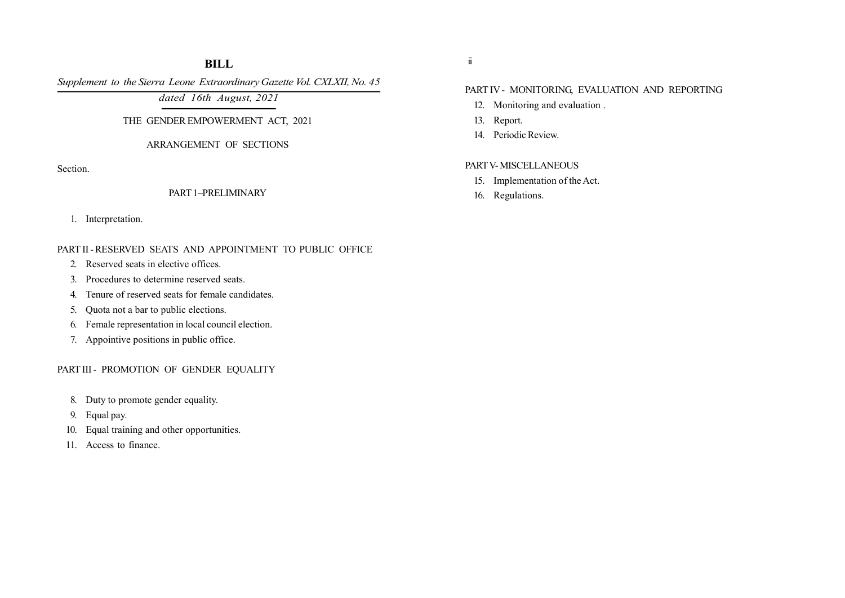# BILL

Supplement to the Sierra Leone Extraordinary Gazette Vol. CXLXII, No. 45

dated 16th August, 2021

## THE GENDER EMPOWERMENT ACT, 2021

## ARRANGEMENT OF SECTIONS

Section.

## PART 1–PRELIMINARY

1. Interpretation.

# PART II - RESERVED SEATS AND APPOINTMENT TO PUBLIC OFFICE

- 2. Reserved seats in elective offices.
- 3. Procedures to determine reserved seats.
- 4. Tenure of reserved seats for female candidates.
- 5. Quota not a bar to public elections.
- 6. Female representation in local council election.
- 7. Appointive positions in public office.

## PART III - PROMOTION OF GENDER EQUALITY

- 8. Duty to promote gender equality.
- 9. Equal pay.
- 10. Equal training and other opportunities.
- 11. Access to finance.

ii

# PART IV - MONITORING, EVALUATION AND REPORTING

- 12. Monitoring and evaluation .
- 13. Report.
- 14. Periodic Review.

## PART V- MISCELLANEOUS

- 15. Implementation of the Act.
- 16. Regulations.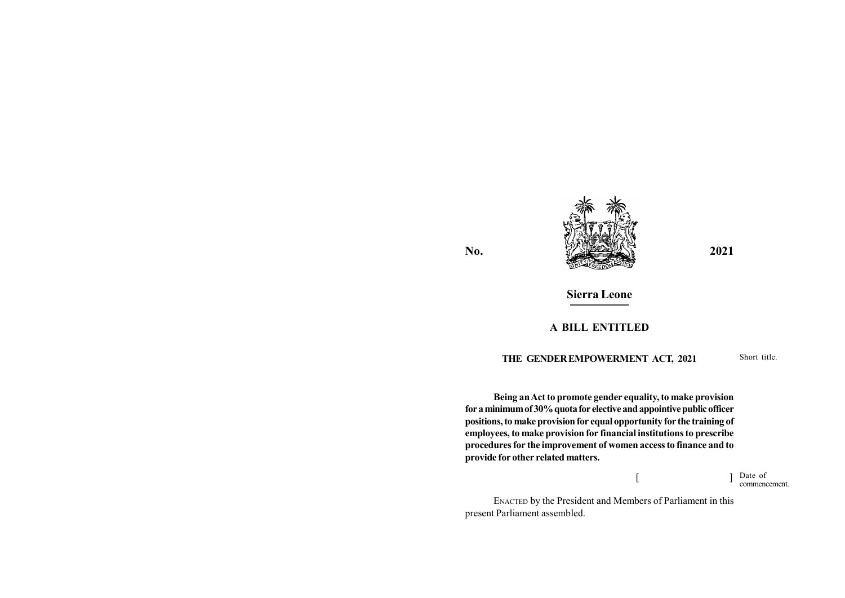

# Sierra Leone

# A BILL ENTITLED

## THE GENDER EMPOWERMENT ACT, 2021

Short title.

Being an Act to promote gender equality, to make provision for a minimum of 30% quota for elective and appointive public officer positions, to make provision for equal opportunity for the training of employees, to make provision for financial institutions to prescribe procedures for the improvement of women access to finance and to provide for other related matters.

> $\begin{bmatrix} 1 & 1 \\ 1 & 1 \end{bmatrix}$ Date of commencement.

ENACTED by the President and Members of Parliament in this present Parliament assembled.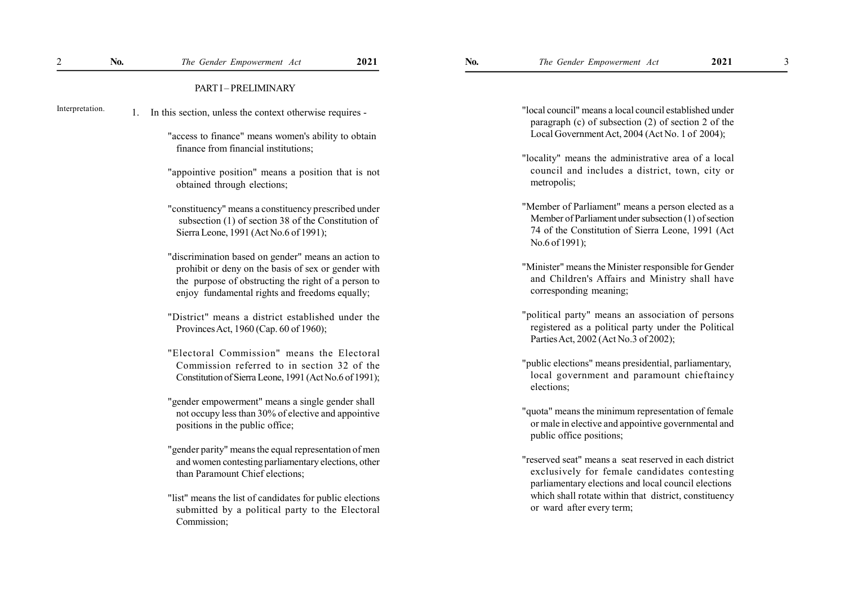| $\overline{c}$  | No. | The Gender Empowerment Act                                                                                                                                   | 2021 | No.                                                                                                                                                               | The Gender Empowerment Act                                                                                                                                                        | 2021 | 3 |
|-----------------|-----|--------------------------------------------------------------------------------------------------------------------------------------------------------------|------|-------------------------------------------------------------------------------------------------------------------------------------------------------------------|-----------------------------------------------------------------------------------------------------------------------------------------------------------------------------------|------|---|
|                 |     | PART I-PRELIMINARY                                                                                                                                           |      |                                                                                                                                                                   |                                                                                                                                                                                   |      |   |
| Interpretation. | 1.  | In this section, unless the context otherwise requires -                                                                                                     |      | "local council" means a local council established under<br>paragraph (c) of subsection (2) of section 2 of the<br>Local Government Act, 2004 (Act No. 1 of 2004); |                                                                                                                                                                                   |      |   |
|                 |     | "access to finance" means women's ability to obtain<br>finance from financial institutions;                                                                  |      |                                                                                                                                                                   |                                                                                                                                                                                   |      |   |
|                 |     |                                                                                                                                                              |      |                                                                                                                                                                   | "locality" means the administrative area of a local                                                                                                                               |      |   |
|                 |     | "appointive position" means a position that is not<br>obtained through elections;                                                                            |      |                                                                                                                                                                   | council and includes a district, town, city or<br>metropolis;                                                                                                                     |      |   |
|                 |     | "constituency" means a constituency prescribed under<br>subsection (1) of section 38 of the Constitution of<br>Sierra Leone, 1991 (Act No.6 of 1991);        |      |                                                                                                                                                                   | "Member of Parliament" means a person elected as a<br>Member of Parliament under subsection (1) of section<br>74 of the Constitution of Sierra Leone, 1991 (Act<br>No.6 of 1991); |      |   |
|                 |     | "discrimination based on gender" means an action to                                                                                                          |      |                                                                                                                                                                   |                                                                                                                                                                                   |      |   |
|                 |     | prohibit or deny on the basis of sex or gender with<br>the purpose of obstructing the right of a person to<br>enjoy fundamental rights and freedoms equally; |      |                                                                                                                                                                   | "Minister" means the Minister responsible for Gender<br>and Children's Affairs and Ministry shall have<br>corresponding meaning;                                                  |      |   |
|                 |     | "District" means a district established under the<br>Provinces Act, 1960 (Cap. 60 of 1960);                                                                  |      |                                                                                                                                                                   | "political party" means an association of persons<br>registered as a political party under the Political<br>Parties Act, 2002 (Act No.3 of 2002);                                 |      |   |
|                 |     | "Electoral Commission" means the Electoral                                                                                                                   |      |                                                                                                                                                                   |                                                                                                                                                                                   |      |   |
|                 |     | Commission referred to in section 32 of the<br>Constitution of Sierra Leone, 1991 (Act No.6 of 1991);                                                        |      |                                                                                                                                                                   | "public elections" means presidential, parliamentary,<br>local government and paramount chieftaincy<br>elections;                                                                 |      |   |
|                 |     | "gender empowerment" means a single gender shall                                                                                                             |      |                                                                                                                                                                   |                                                                                                                                                                                   |      |   |
|                 |     | not occupy less than 30% of elective and appointive<br>positions in the public office;                                                                       |      |                                                                                                                                                                   | "quota" means the minimum representation of female<br>or male in elective and appointive governmental and<br>public office positions;                                             |      |   |
|                 |     | "gender parity" means the equal representation of men                                                                                                        |      |                                                                                                                                                                   |                                                                                                                                                                                   |      |   |
|                 |     | and women contesting parliamentary elections, other<br>than Paramount Chief elections;                                                                       |      |                                                                                                                                                                   | "reserved seat" means a seat reserved in each district<br>exclusively for female candidates contesting<br>parliamentary elections and local council elections                     |      |   |
|                 |     | "list" means the list of candidates for public elections<br>submitted by a political party to the Electoral<br>Commission;                                   |      |                                                                                                                                                                   | which shall rotate within that district, constituency<br>or ward after every term;                                                                                                |      |   |
|                 |     |                                                                                                                                                              |      |                                                                                                                                                                   |                                                                                                                                                                                   |      |   |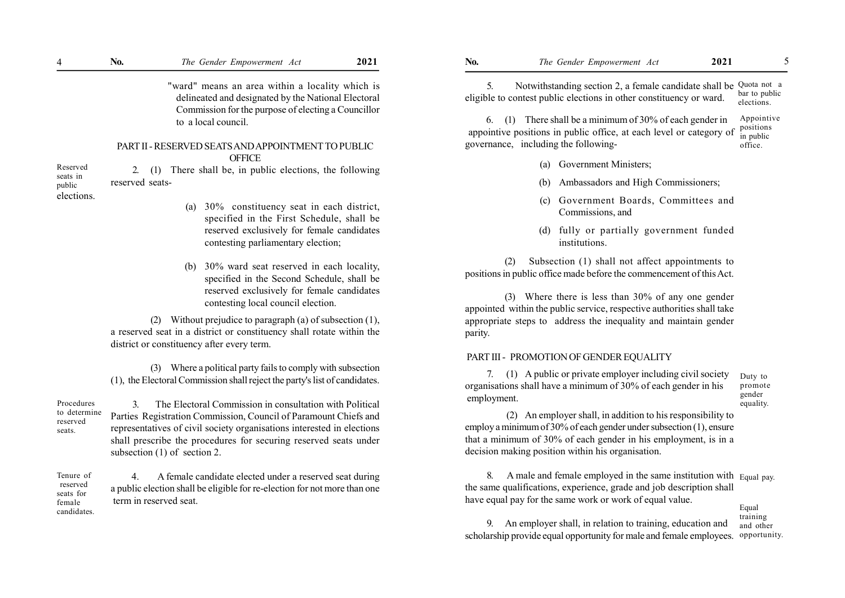"ward" means an area within a locality which is delineated and designated by the National Electoral Commission for the purpose of electing a Councillor to a local council.

#### PART II - RESERVED SEATS AND APPOINTMENT TO PUBLIC **OFFICE**

2. (1) There shall be, in public elections, the following reserved seats- Reserved

public elections.

seats in

(a) 30% constituency seat in each district, specified in the First Schedule, shall be reserved exclusively for female candidates contesting parliamentary election;

(b) 30% ward seat reserved in each locality, specified in the Second Schedule, shall be reserved exclusively for female candidates contesting local council election.

(2) Without prejudice to paragraph (a) of subsection (1), a reserved seat in a district or constituency shall rotate within the district or constituency after every term.

(1), the Electoral Commission shall reject the party's list of candidates.

Procedures to determine reserved seats.

Tenure of reserved seats for female candidates.

3. The Electoral Commission in consultation with Political Parties Registration Commission, Council of Paramount Chiefs and representatives of civil society organisations interested in elections shall prescribe the procedures for securing reserved seats under subsection (1) of section 2.

 4. A female candidate elected under a reserved seat during a public election shall be eligible for re-election for not more than one term in reserved seat.

5. Notwithstanding section 2, a female candidate shall be Quota not a eligible to contest public elections in other constituency or ward. bar to public elections.

 6. (1) There shall be a minimum of 30% of each gender in appointive positions in public office, at each level or category of governance, including the following- Appointive positions in public office.

- (a) Government Ministers;
- (b) Ambassadors and High Commissioners;
- (c) Government Boards, Committees and Commissions, and
- (d) fully or partially government funded institutions.

(2) Subsection (1) shall not affect appointments to positions in public office made before the commencement of this Act.

(3) Where there is less than 30% of any one gender appointed within the public service, respective authorities shall take appropriate steps to address the inequality and maintain gender parity.

#### PART III - PROMOTION OF GENDER EQUALITY

7. (1) A public or private employer including civil society organisations shall have a minimum of 30% of each gender in his employment.

Duty to promote gender equality.

 (2) An employer shall, in addition to his responsibility to employ a minimum of 30% of each gender under subsection (1), ensure that a minimum of 30% of each gender in his employment, is in a decision making position within his organisation.

8. A male and female employed in the same institution with Equal pay. the same qualifications, experience, grade and job description shall have equal pay for the same work or work of equal value.

Equal training and other

9. An employer shall, in relation to training, education and scholarship provide equal opportunity for male and female employees. opportunity.

(3) Where a political party fails to comply with subsection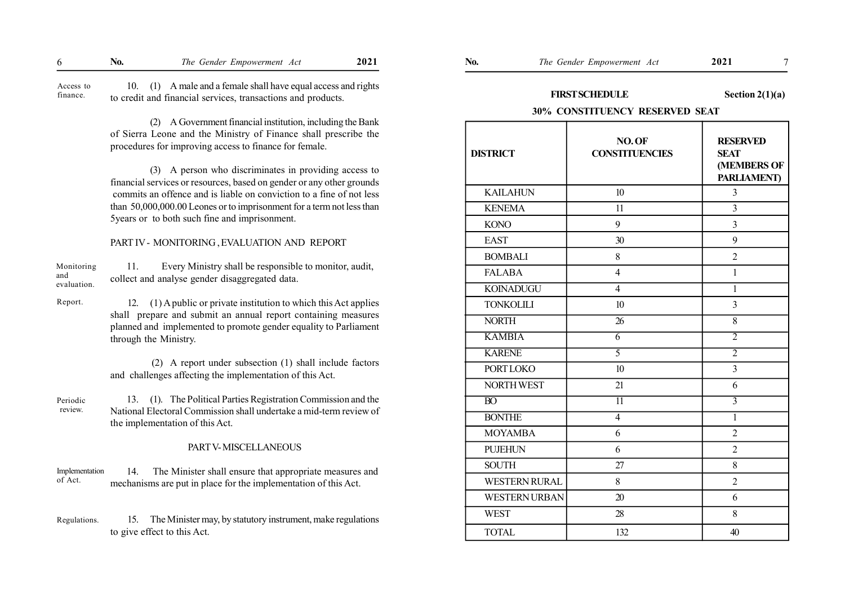| 'NO. | Empowerment<br>Gender<br>1 he<br>4 e f<br>21 C | 2021 | NO. | Empowerment<br>1he<br>Gender<br>Act | 2021 |  |
|------|------------------------------------------------|------|-----|-------------------------------------|------|--|
|------|------------------------------------------------|------|-----|-------------------------------------|------|--|

 10. (1) A male and a female shall have equal access and rights to credit and financial services, transactions and products. Access to finance.

> (2) A Government financial institution, including the Bank of Sierra Leone and the Ministry of Finance shall prescribe the procedures for improving access to finance for female.

> (3) A person who discriminates in providing access to financial services or resources, based on gender or any other grounds commits an offence and is liable on conviction to a fine of not less than 50,000,000.00 Leones or to imprisonment for a term not less than 5years or to both such fine and imprisonment.

#### PART IV - MONITORING , EVALUATION AND REPORT

| Monitoring         | Every Ministry shall be responsible to monitor, audit, |
|--------------------|--------------------------------------------------------|
| and<br>evaluation. | collect and analyse gender disaggregated data.         |
|                    |                                                        |

Report.

12. (1) A public or private institution to which this Act applies shall prepare and submit an annual report containing measures planned and implemented to promote gender equality to Parliament through the Ministry.

 (2) A report under subsection (1) shall include factors and challenges affecting the implementation of this Act.

 13. (1). The Political Parties Registration Commission and the National Electoral Commission shall undertake a mid-term review of the implementation of this Act. Periodic review.

#### PART V- MISCELLANEOUS

 14. The Minister shall ensure that appropriate measures and mechanisms are put in place for the implementation of this Act. Implementation of Act.

15. The Minister may, by statutory instrument, make regulations to give effect to this Act. Regulations.

# FIRST SCHEDULE Section 2(1)(a)

### 30% CONSTITUENCY RESERVED SEAT

| <b>DISTRICT</b>      | NO.OF<br><b>CONSTITUENCIES</b> | <b>RESERVED</b><br><b>SEAT</b><br>(MEMBERS OF<br><b>PARLIAMENT</b> ) |
|----------------------|--------------------------------|----------------------------------------------------------------------|
| <b>KAILAHUN</b>      | 10 <sup>10</sup>               | $\overline{3}$                                                       |
| <b>KENEMA</b>        | 11                             | $\overline{3}$                                                       |
| <b>KONO</b>          | 9                              | $\overline{3}$                                                       |
| <b>EAST</b>          | 30                             | 9                                                                    |
| <b>BOMBALI</b>       | 8                              | $\overline{2}$                                                       |
| <b>FALABA</b>        | $\overline{4}$                 | $\mathbf{1}$                                                         |
| <b>KOINADUGU</b>     | $\overline{4}$                 | $\mathbf{1}$                                                         |
| <b>TONKOLILI</b>     | 10                             | $\overline{\mathbf{3}}$                                              |
| <b>NORTH</b>         | 26                             | $\overline{8}$                                                       |
| <b>KAMBIA</b>        | $\overline{6}$                 | $\overline{2}$                                                       |
| <b>KARENE</b>        | $\overline{5}$                 | $\overline{2}$                                                       |
| <b>PORT LOKO</b>     | 10                             | $\overline{3}$                                                       |
| <b>NORTH WEST</b>    | 21                             | 6                                                                    |
| $\overline{BO}$      | $\overline{11}$                | $\overline{3}$                                                       |
| <b>BONTHE</b>        | $\overline{4}$                 | $\overline{1}$                                                       |
| <b>MOYAMBA</b>       | 6                              | $\overline{2}$                                                       |
| <b>PUJEHUN</b>       | 6                              | $\overline{2}$                                                       |
| <b>SOUTH</b>         | 27                             | 8                                                                    |
| <b>WESTERN RURAL</b> | 8                              | $\overline{2}$                                                       |
| <b>WESTERN URBAN</b> | 20                             | 6                                                                    |
| <b>WEST</b>          | 28                             | 8                                                                    |
| <b>TOTAL</b>         | 132                            | 40                                                                   |